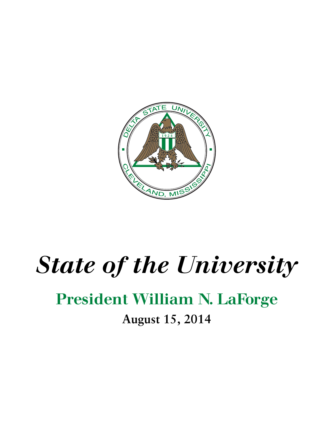

## *State of the University*

## President William N. LaForge

**August 15, 2014**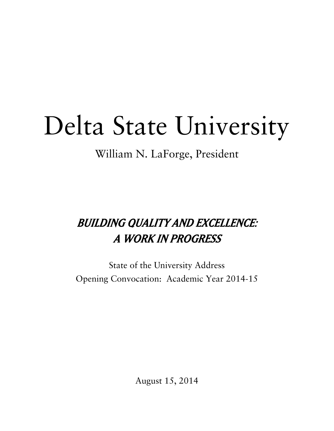# Delta State University

William N. LaForge, President

### BUILDING QUALITY AND EXCELLENCE: A WORK IN PROGRESS

State of the University Address Opening Convocation: Academic Year 2014-15

August 15, 2014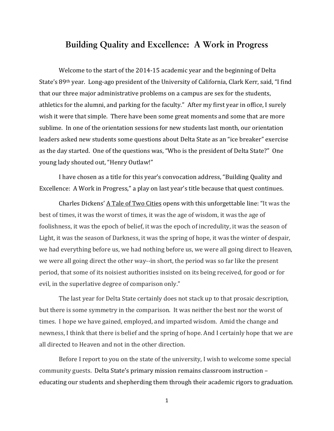### **Building Quality and Excellence: A Work in Progress**

Welcome to the start of the 2014‐15 academic year and the beginning of Delta State's 89th year. Long‐ago president of the University of California, Clark Kerr, said, "I find that our three major administrative problems on a campus are sex for the students, athletics for the alumni, and parking for the faculty." After my first year in office, I surely wish it were that simple. There have been some great moments and some that are more sublime. In one of the orientation sessions for new students last month, our orientation leaders asked new students some questions about Delta State as an "ice breaker" exercise as the day started. One of the questions was, "Who is the president of Delta State?" One young lady shouted out, "Henry Outlaw!"

I have chosen as a title for this year's convocation address, "Building Quality and Excellence: A Work in Progress," a play on last year's title because that quest continues.

Charles Dickens' A Tale of Two Cities opens with this unforgettable line: "It was the best of times, it was the worst of times, it was the age of wisdom, it was the age of foolishness, it was the epoch of belief, it was the epoch of incredulity, it was the season of Light, it was the season of Darkness, it was the spring of hope, it was the winter of despair, we had everything before us, we had nothing before us, we were all going direct to Heaven, we were all going direct the other way--in short, the period was so far like the present period, that some of its noisiest authorities insisted on its being received, for good or for evil, in the superlative degree of comparison only."

The last year for Delta State certainly does not stack up to that prosaic description, but there is some symmetry in the comparison. It was neither the best nor the worst of times. I hope we have gained, employed, and imparted wisdom. Amid the change and newness, I think that there is belief and the spring of hope. And I certainly hope that we are all directed to Heaven and not in the other direction.

Before I report to you on the state of the university, I wish to welcome some special community guests. Delta State's primary mission remains classroom instruction – educating our students and shepherding them through their academic rigors to graduation.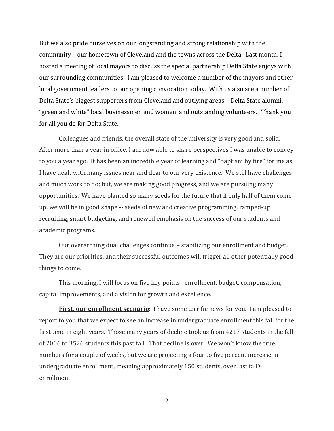But we also pride ourselves on our longstanding and strong relationship with the community – our hometown of Cleveland and the towns across the Delta. Last month, I hosted a meeting of local mayors to discuss the special partnership Delta State enjoys with our surrounding communities. I am pleased to welcome a number of the mayors and other local government leaders to our opening convocation today. With us also are a number of Delta State's biggest supporters from Cleveland and outlying areas – Delta State alumni, "green and white" local businessmen and women, and outstanding volunteers. Thank you for all you do for Delta State.

Colleagues and friends, the overall state of the university is very good and solid. After more than a year in office, I am now able to share perspectives I was unable to convey to you a year ago. It has been an incredible year of learning and "baptism by fire" for me as I have dealt with many issues near and dear to our very existence. We still have challenges and much work to do; but, we are making good progress, and we are pursuing many opportunities. We have planted so many seeds for the future that if only half of them come up, we will be in good shape ‐‐ seeds of new and creative programming, ramped‐up recruiting, smart budgeting, and renewed emphasis on the success of our students and academic programs.

Our overarching dual challenges continue – stabilizing our enrollment and budget. They are our priorities, and their successful outcomes will trigger all other potentially good things to come.

This morning, I will focus on five key points: enrollment, budget, compensation, capital improvements, and a vision for growth and excellence.

**First, our enrollment scenario**: I have some terrific news for you. I am pleased to report to you that we expect to see an increase in undergraduate enrollment this fall for the first time in eight years. Those many years of decline took us from 4217 students in the fall of 2006 to 3526 students this past fall. That decline is over. We won't know the true numbers for a couple of weeks, but we are projecting a four to five percent increase in undergraduate enrollment, meaning approximately 150 students, over last fall's enrollment.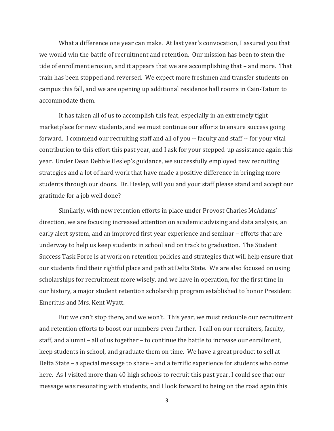What a difference one year can make. At last year's convocation, I assured you that we would win the battle of recruitment and retention. Our mission has been to stem the tide of enrollment erosion, and it appears that we are accomplishing that – and more. That train has been stopped and reversed. We expect more freshmen and transfer students on campus this fall, and we are opening up additional residence hall rooms in Cain‐Tatum to accommodate them.

It has taken all of us to accomplish this feat, especially in an extremely tight marketplace for new students, and we must continue our efforts to ensure success going forward. I commend our recruiting staff and all of you ‐‐ faculty and staff ‐‐ for your vital contribution to this effort this past year, and I ask for your stepped‐up assistance again this year. Under Dean Debbie Heslep's guidance, we successfully employed new recruiting strategies and a lot of hard work that have made a positive difference in bringing more students through our doors. Dr. Heslep, will you and your staff please stand and accept our gratitude for a job well done?

Similarly, with new retention efforts in place under Provost Charles McAdams' direction, we are focusing increased attention on academic advising and data analysis, an early alert system, and an improved first year experience and seminar – efforts that are underway to help us keep students in school and on track to graduation. The Student Success Task Force is at work on retention policies and strategies that will help ensure that our students find their rightful place and path at Delta State. We are also focused on using scholarships for recruitment more wisely, and we have in operation, for the first time in our history, a major student retention scholarship program established to honor President Emeritus and Mrs. Kent Wyatt.

But we can't stop there, and we won't. This year, we must redouble our recruitment and retention efforts to boost our numbers even further. I call on our recruiters, faculty, staff, and alumni – all of us together – to continue the battle to increase our enrollment, keep students in school, and graduate them on time. We have a great product to sell at Delta State – a special message to share – and a terrific experience for students who come here. As I visited more than 40 high schools to recruit this past year, I could see that our message was resonating with students, and I look forward to being on the road again this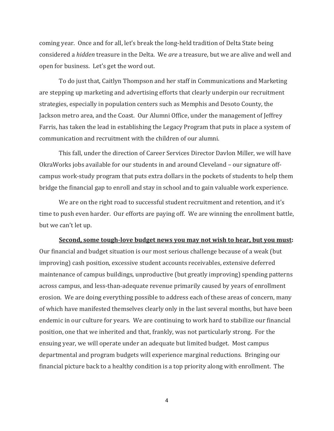coming year. Once and for all, let's break the long‐held tradition of Delta State being considered a *hidden* treasure in the Delta. We *are* a treasure, but we are alive and well and open for business. Let's get the word out.

To do just that, Caitlyn Thompson and her staff in Communications and Marketing are stepping up marketing and advertising efforts that clearly underpin our recruitment strategies, especially in population centers such as Memphis and Desoto County, the Jackson metro area, and the Coast. Our Alumni Office, under the management of Jeffrey Farris, has taken the lead in establishing the Legacy Program that puts in place a system of communication and recruitment with the children of our alumni.

This fall, under the direction of Career Services Director Davlon Miller, we will have OkraWorks jobs available for our students in and around Cleveland – our signature off‐ campus work‐study program that puts extra dollars in the pockets of students to help them bridge the financial gap to enroll and stay in school and to gain valuable work experience.

We are on the right road to successful student recruitment and retention, and it's time to push even harder. Our efforts are paying off. We are winning the enrollment battle, but we can't let up.

#### **Second, some toughlove budget news you may not wish to hear, but you must:**

Our financial and budget situation is our most serious challenge because of a weak (but improving) cash position, excessive student accounts receivables, extensive deferred maintenance of campus buildings, unproductive (but greatly improving) spending patterns across campus, and less‐than‐adequate revenue primarily caused by years of enrollment erosion. We are doing everything possible to address each of these areas of concern, many of which have manifested themselves clearly only in the last several months, but have been endemic in our culture for years. We are continuing to work hard to stabilize our financial position, one that we inherited and that, frankly, was not particularly strong. For the ensuing year, we will operate under an adequate but limited budget. Most campus departmental and program budgets will experience marginal reductions. Bringing our financial picture back to a healthy condition is a top priority along with enrollment. The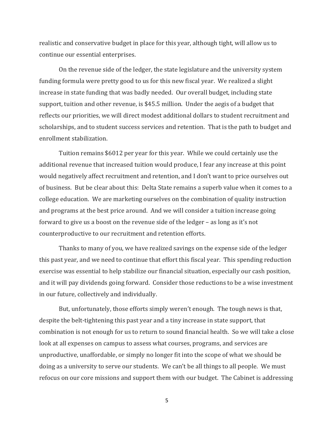realistic and conservative budget in place for this year, although tight, will allow us to continue our essential enterprises.

On the revenue side of the ledger, the state legislature and the university system funding formula were pretty good to us for this new fiscal year. We realized a slight increase in state funding that was badly needed. Our overall budget, including state support, tuition and other revenue, is \$45.5 million. Under the aegis of a budget that reflects our priorities, we will direct modest additional dollars to student recruitment and scholarships, and to student success services and retention. That is the path to budget and enrollment stabilization.

Tuition remains \$6012 per year for this year. While we could certainly use the additional revenue that increased tuition would produce, I fear any increase at this point would negatively affect recruitment and retention, and I don't want to price ourselves out of business. But be clear about this: Delta State remains a superb value when it comes to a college education. We are marketing ourselves on the combination of quality instruction and programs at the best price around. And we will consider a tuition increase going forward to give us a boost on the revenue side of the ledger – as long as it's not counterproductive to our recruitment and retention efforts.

Thanks to many of you, we have realized savings on the expense side of the ledger this past year, and we need to continue that effort this fiscal year. This spending reduction exercise was essential to help stabilize our financial situation, especially our cash position, and it will pay dividends going forward. Consider those reductions to be a wise investment in our future, collectively and individually.

But, unfortunately, those efforts simply weren't enough. The tough news is that, despite the belt-tightening this past year and a tiny increase in state support, that combination is not enough for us to return to sound financial health. So we will take a close look at all expenses on campus to assess what courses, programs, and services are unproductive, unaffordable, or simply no longer fit into the scope of what we should be doing as a university to serve our students. We can't be all things to all people. We must refocus on our core missions and support them with our budget. The Cabinet is addressing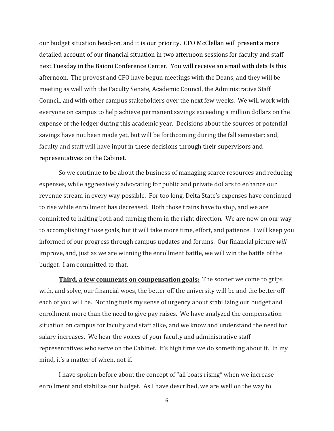our budget situation head‐on, and it is our priority. CFO McClellan will present a more detailed account of our financial situation in two afternoon sessions for faculty and staff next Tuesday in the Baioni Conference Center. You will receive an email with details this afternoon. The provost and CFO have begun meetings with the Deans, and they will be meeting as well with the Faculty Senate, Academic Council, the Administrative Staff Council, and with other campus stakeholders over the next few weeks. We will work with everyone on campus to help achieve permanent savings exceeding a million dollars on the expense of the ledger during this academic year. Decisions about the sources of potential savings have not been made yet, but will be forthcoming during the fall semester; and, faculty and staff will have input in these decisions through their supervisors and representatives on the Cabinet.

So we continue to be about the business of managing scarce resources and reducing expenses, while aggressively advocating for public and private dollars to enhance our revenue stream in every way possible. For too long, Delta State's expenses have continued to rise while enrollment has decreased. Both those trains have to stop, and we are committed to halting both and turning them in the right direction. We are now on our way to accomplishing those goals, but it will take more time, effort, and patience. I will keep you informed of our progress through campus updates and forums. Our financial picture *will* improve, and, just as we are winning the enrollment battle, we will win the battle of the budget. I am committed to that.

**Third, a few comments on compensation goals:** The sooner we come to grips with, and solve, our financial woes, the better off the university will be and the better off each of you will be. Nothing fuels my sense of urgency about stabilizing our budget and enrollment more than the need to give pay raises. We have analyzed the compensation situation on campus for faculty and staff alike, and we know and understand the need for salary increases. We hear the voices of your faculty and administrative staff representatives who serve on the Cabinet. It's high time we do something about it. In my mind, it's a matter of when, not if.

I have spoken before about the concept of "all boats rising" when we increase enrollment and stabilize our budget. As I have described, we are well on the way to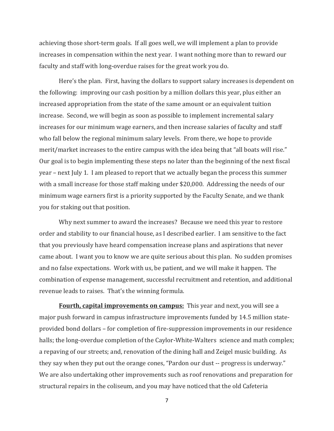achieving those short‐term goals. If all goes well, we will implement a plan to provide increases in compensation within the next year. I want nothing more than to reward our faculty and staff with long‐overdue raises for the great work you do.

Here's the plan. First, having the dollars to support salary increases is dependent on the following: improving our cash position by a million dollars this year, plus either an increased appropriation from the state of the same amount or an equivalent tuition increase. Second, we will begin as soon as possible to implement incremental salary increases for our minimum wage earners, and then increase salaries of faculty and staff who fall below the regional minimum salary levels. From there, we hope to provide merit/market increases to the entire campus with the idea being that "all boats will rise." Our goal is to begin implementing these steps no later than the beginning of the next fiscal year – next July 1. I am pleased to report that we actually began the process this summer with a small increase for those staff making under \$20,000. Addressing the needs of our minimum wage earners first is a priority supported by the Faculty Senate, and we thank you for staking out that position.

Why next summer to award the increases? Because we need this year to restore order and stability to our financial house, as I described earlier. I am sensitive to the fact that you previously have heard compensation increase plans and aspirations that never came about. I want you to know we are quite serious about this plan. No sudden promises and no false expectations. Work with us, be patient, and we will make it happen. The combination of expense management, successful recruitment and retention, and additional revenue leads to raises. That's the winning formula.

**Fourth, capital improvements on campus:** This year and next, you will see a major push forward in campus infrastructure improvements funded by 14.5 million state‐ provided bond dollars – for completion of fire‐suppression improvements in our residence halls; the long-overdue completion of the Caylor-White-Walters science and math complex; a repaving of our streets; and, renovation of the dining hall and Zeigel music building. As they say when they put out the orange cones, "Pardon our dust ‐‐ progress is underway." We are also undertaking other improvements such as roof renovations and preparation for structural repairs in the coliseum, and you may have noticed that the old Cafeteria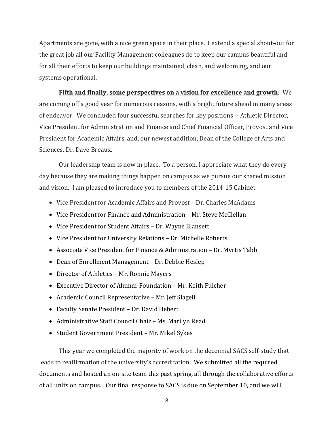Apartments are gone, with a nice green space in their place. I extend a special shout‐out for the great job all our Facility Management colleagues do to keep our campus beautiful and for all their efforts to keep our buildings maintained, clean, and welcoming, and our systems operational.

**Fifth and finally, some perspectives on a vision for excellence and growth**: We are coming off a good year for numerous reasons, with a bright future ahead in many areas of endeavor. We concluded four successful searches for key positions ‐‐ Athletic Director, Vice President for Administration and Finance and Chief Financial Officer, Provost and Vice President for Academic Affairs, and, our newest addition, Dean of the College of Arts and Sciences, Dr. Dave Breaux.

Our leadership team is now in place. To a person, I appreciate what they do every day because they are making things happen on campus as we pursue our shared mission and vision. I am pleased to introduce you to members of the 2014‐15 Cabinet:

- Vice President for Academic Affairs and Provost Dr. Charles McAdams
- Vice President for Finance and Administration Mr. Steve McClellan
- Vice President for Student Affairs Dr. Wayne Blansett
- Vice President for University Relations Dr. Michelle Roberts
- Associate Vice President for Finance & Administration Dr. Myrtis Tabb
- Dean of Enrollment Management Dr. Debbie Heslep
- Director of Athletics Mr. Ronnie Mayers
- Executive Director of Alumni‐Foundation Mr. Keith Fulcher
- Academic Council Representative Mr. Jeff Slagell
- Faculty Senate President Dr. David Hebert
- Administrative Staff Council Chair Ms. Marilyn Read
- Student Government President Mr. Mikel Sykes

This year we completed the majority of work on the decennial SACS self‐study that leads to reaffirmation of the university's accreditation. We submitted all the required documents and hosted an on‐site team this past spring, all through the collaborative efforts of all units on campus. Our final response to SACS is due on September 10, and we will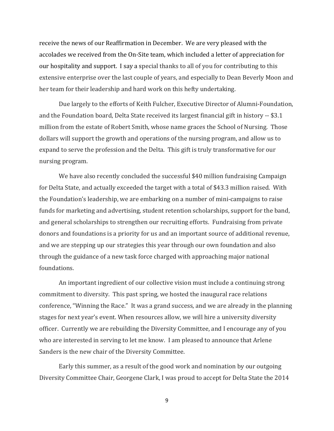receive the news of our Reaffirmation in December. We are very pleased with the accolades we received from the On‐Site team, which included a letter of appreciation for our hospitality and support. I say a special thanks to all of you for contributing to this extensive enterprise over the last couple of years, and especially to Dean Beverly Moon and her team for their leadership and hard work on this hefty undertaking.

Due largely to the efforts of Keith Fulcher, Executive Director of Alumni‐Foundation, and the Foundation board, Delta State received its largest financial gift in history ‐‐ \$3.1 million from the estate of Robert Smith, whose name graces the School of Nursing. Those dollars will support the growth and operations of the nursing program, and allow us to expand to serve the profession and the Delta. This gift is truly transformative for our nursing program.

We have also recently concluded the successful \$40 million fundraising Campaign for Delta State, and actually exceeded the target with a total of \$43.3 million raised. With the Foundation's leadership, we are embarking on a number of mini‐campaigns to raise funds for marketing and advertising, student retention scholarships, support for the band, and general scholarships to strengthen our recruiting efforts. Fundraising from private donors and foundations is a priority for us and an important source of additional revenue, and we are stepping up our strategies this year through our own foundation and also through the guidance of a new task force charged with approaching major national foundations.

An important ingredient of our collective vision must include a continuing strong commitment to diversity. This past spring, we hosted the inaugural race relations conference, "Winning the Race." It was a grand success, and we are already in the planning stages for next year's event. When resources allow, we will hire a university diversity officer. Currently we are rebuilding the Diversity Committee, and I encourage any of you who are interested in serving to let me know. I am pleased to announce that Arlene Sanders is the new chair of the Diversity Committee.

Early this summer, as a result of the good work and nomination by our outgoing Diversity Committee Chair, Georgene Clark, I was proud to accept for Delta State the 2014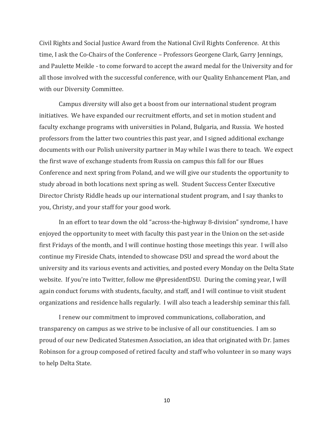Civil Rights and Social Justice Award from the National Civil Rights Conference. At this time, I ask the Co‐Chairs of the Conference – Professors Georgene Clark, Garry Jennings, and Paulette Meikle ‐ to come forward to accept the award medal for the University and for all those involved with the successful conference, with our Quality Enhancement Plan, and with our Diversity Committee.

Campus diversity will also get a boost from our international student program initiatives. We have expanded our recruitment efforts, and set in motion student and faculty exchange programs with universities in Poland, Bulgaria, and Russia. We hosted professors from the latter two countries this past year, and I signed additional exchange documents with our Polish university partner in May while I was there to teach. We expect the first wave of exchange students from Russia on campus this fall for our Blues Conference and next spring from Poland, and we will give our students the opportunity to study abroad in both locations next spring as well. Student Success Center Executive Director Christy Riddle heads up our international student program, and I say thanks to you, Christy, and your staff for your good work.

In an effort to tear down the old "across-the-highway 8-division" syndrome, I have enjoyed the opportunity to meet with faculty this past year in the Union on the set-aside first Fridays of the month, and I will continue hosting those meetings this year. I will also continue my Fireside Chats, intended to showcase DSU and spread the word about the university and its various events and activities, and posted every Monday on the Delta State website. If you're into Twitter, follow me @presidentDSU. During the coming year, I will again conduct forums with students, faculty, and staff, and I will continue to visit student organizations and residence halls regularly. I will also teach a leadership seminar this fall.

I renew our commitment to improved communications, collaboration, and transparency on campus as we strive to be inclusive of all our constituencies. I am so proud of our new Dedicated Statesmen Association, an idea that originated with Dr. James Robinson for a group composed of retired faculty and staff who volunteer in so many ways to help Delta State.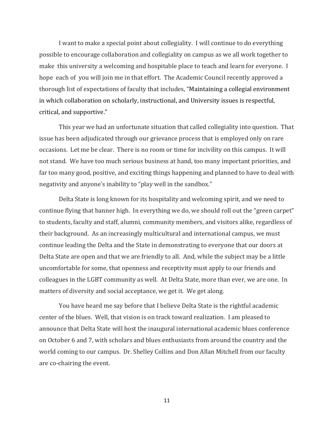I want to make a special point about collegiality. I will continue to do everything possible to encourage collaboration and collegiality on campus as we all work together to make this university a welcoming and hospitable place to teach and learn for everyone. I hope each of you will join me in that effort. The Academic Council recently approved a thorough list of expectations of faculty that includes, "Maintaining a collegial environment in which collaboration on scholarly, instructional, and University issues is respectful, critical, and supportive."

This year we had an unfortunate situation that called collegiality into question. That issue has been adjudicated through our grievance process that is employed only on rare occasions. Let me be clear. There is no room or time for incivility on this campus. It will not stand. We have too much serious business at hand, too many important priorities, and far too many good, positive, and exciting things happening and planned to have to deal with negativity and anyone's inability to "play well in the sandbox."

Delta State is long known for its hospitality and welcoming spirit, and we need to continue flying that banner high. In everything we do, we should roll out the "green carpet" to students, faculty and staff, alumni, community members, and visitors alike, regardless of their background. As an increasingly multicultural and international campus, we must continue leading the Delta and the State in demonstrating to everyone that our doors at Delta State are open and that we are friendly to all. And, while the subject may be a little uncomfortable for some, that openness and receptivity must apply to our friends and colleagues in the LGBT community as well. At Delta State, more than ever, we are one. In matters of diversity and social acceptance, we get it. We get along.

You have heard me say before that I believe Delta State is the rightful academic center of the blues. Well, that vision is on track toward realization. I am pleased to announce that Delta State will host the inaugural international academic blues conference on October 6 and 7, with scholars and blues enthusiasts from around the country and the world coming to our campus. Dr. Shelley Collins and Don Allan Mitchell from our faculty are co‐chairing the event.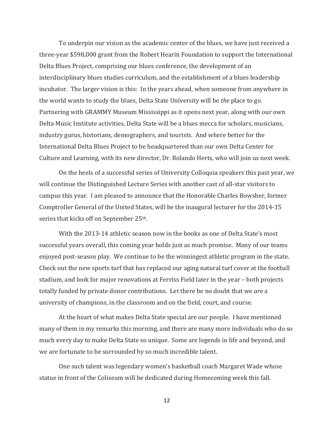To underpin our vision as the academic center of the blues, we have just received a three‐year \$598,000 grant from the Robert Hearin Foundation to support the International Delta Blues Project, comprising our blues conference, the development of an interdisciplinary blues studies curriculum, and the establishment of a blues leadership incubator. The larger vision is this: In the years ahead, when someone from anywhere in the world wants to study the blues, Delta State University will be *the* place to go. Partnering with GRAMMY Museum Mississippi as it opens next year, along with our own Delta Music Institute activities, Delta State will be a blues mecca for scholars, musicians, industry gurus, historians, demographers, and tourists. And where better for the International Delta Blues Project to be headquartered than our own Delta Center for Culture and Learning, with its new director, Dr. Rolando Herts, who will join us next week.

On the heels of a successful series of University Colloquia speakers this past year, we will continue the Distinguished Lecture Series with another cast of all-star visitors to campus this year. I am pleased to announce that the Honorable Charles Bowsher, former Comptroller General of the United States, will be the inaugural lecturer for the 2014‐15 series that kicks off on September 25th.

With the 2013-14 athletic season now in the books as one of Delta State's most successful years overall, this coming year holds just as much promise. Many of our teams enjoyed post-season play. We continue to be the winningest athletic program in the state. Check out the new sports turf that has replaced our aging natural turf cover at the football stadium, and look for major renovations at Ferriss Field later in the year – both projects totally funded by private donor contributions. Let there be no doubt that we *are* a university of champions, in the classroom and on the field, court, and course.

At the heart of what makes Delta State special are our people. I have mentioned many of them in my remarks this morning, and there are many more individuals who do so much every day to make Delta State so unique. Some are legends in life and beyond, and we are fortunate to be surrounded by so much incredible talent.

One such talent was legendary women's basketball coach Margaret Wade whose statue in front of the Coliseum will be dedicated during Homecoming week this fall.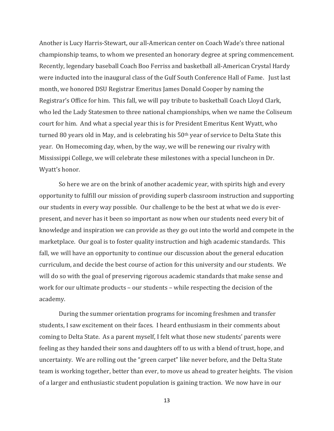Another is Lucy Harris‐Stewart, our all‐American center on Coach Wade's three national championship teams, to whom we presented an honorary degree at spring commencement. Recently, legendary baseball Coach Boo Ferriss and basketball all‐American Crystal Hardy were inducted into the inaugural class of the Gulf South Conference Hall of Fame. Just last month, we honored DSU Registrar Emeritus James Donald Cooper by naming the Registrar's Office for him. This fall, we will pay tribute to basketball Coach Lloyd Clark, who led the Lady Statesmen to three national championships, when we name the Coliseum court for him. And what a special year this is for President Emeritus Kent Wyatt, who turned 80 years old in May, and is celebrating his 50<sup>th</sup> year of service to Delta State this year. On Homecoming day, when, by the way, we will be renewing our rivalry with Mississippi College, we will celebrate these milestones with a special luncheon in Dr. Wyatt's honor.

So here we are on the brink of another academic year, with spirits high and every opportunity to fulfill our mission of providing superb classroom instruction and supporting our students in every way possible. Our challenge to be the best at what we do is ever‐ present, and never has it been so important as now when our students need every bit of knowledge and inspiration we can provide as they go out into the world and compete in the marketplace. Our goal is to foster quality instruction and high academic standards. This fall, we will have an opportunity to continue our discussion about the general education curriculum, and decide the best course of action for this university and our students. We will do so with the goal of preserving rigorous academic standards that make sense and work for our ultimate products – our students – while respecting the decision of the academy.

During the summer orientation programs for incoming freshmen and transfer students, I saw excitement on their faces. I heard enthusiasm in their comments about coming to Delta State. As a parent myself, I felt what those new students' parents were feeling as they handed their sons and daughters off to us with a blend of trust, hope, and uncertainty. We are rolling out the "green carpet" like never before, and the Delta State team is working together, better than ever, to move us ahead to greater heights. The vision of a larger and enthusiastic student population is gaining traction. We now have in our